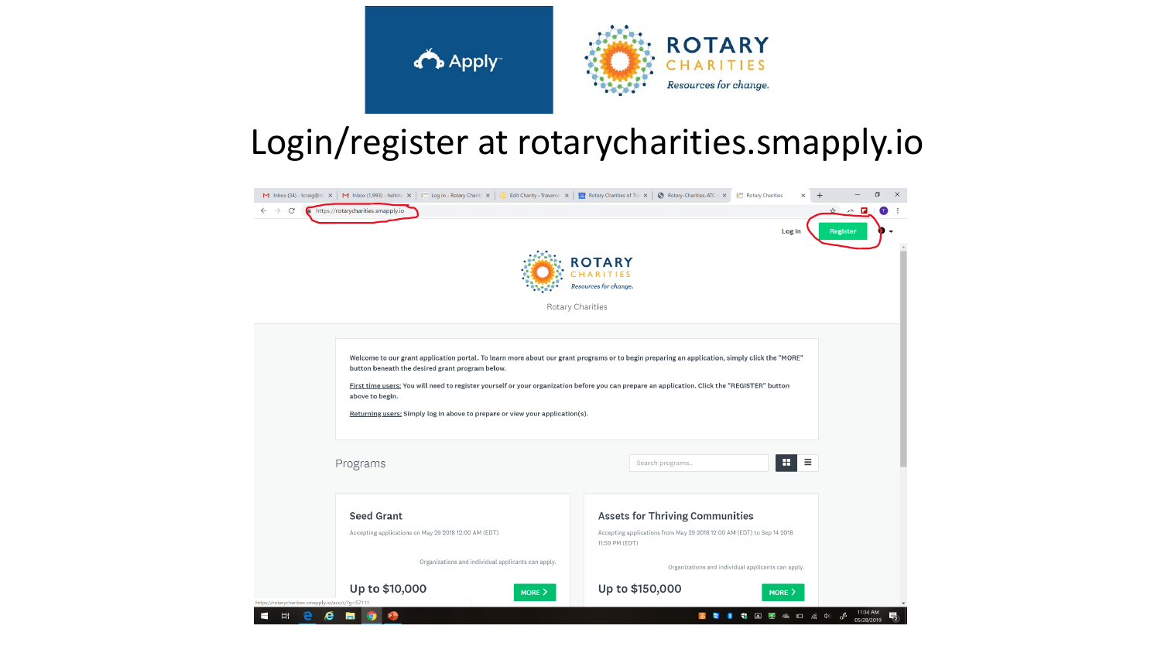

### Login/register at rotarycharities.smapply.io

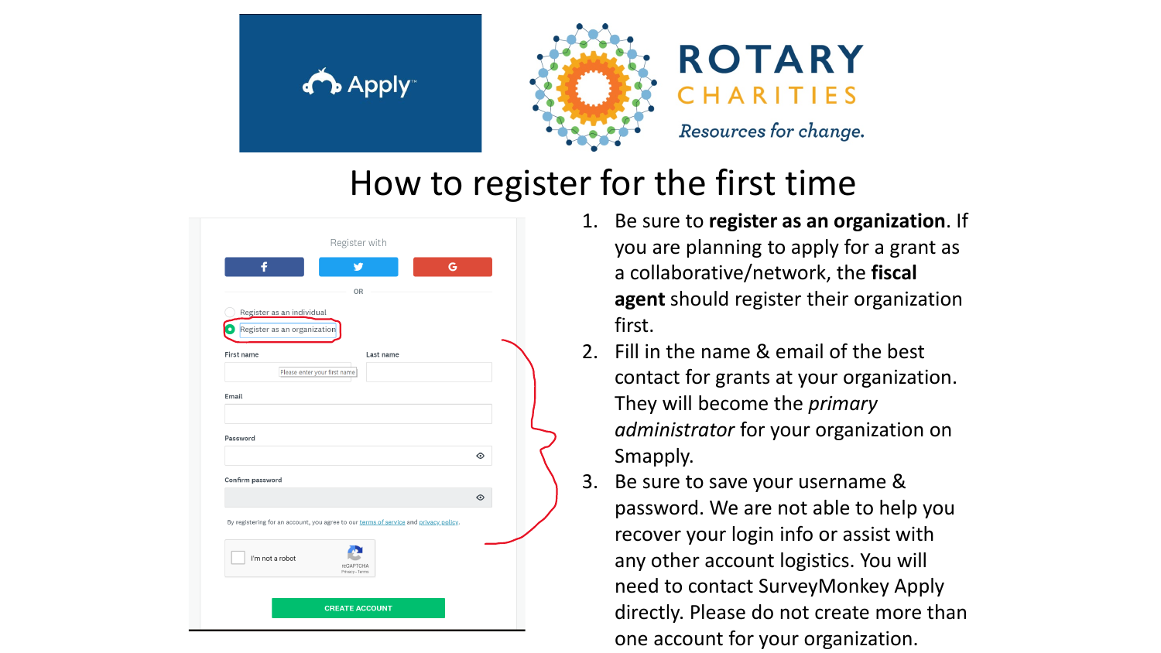



### **ROTARY** ARITIES Resources for change.

### How to register for the first time

| Register with                                                                        |         |
|--------------------------------------------------------------------------------------|---------|
| f<br>G<br>v                                                                          |         |
| OR                                                                                   |         |
| Register as an individual                                                            |         |
| Register as an organization<br>$\bullet$                                             |         |
| First name<br>Last name                                                              |         |
| Please enter your first name                                                         |         |
| Email                                                                                |         |
|                                                                                      |         |
| Password                                                                             |         |
|                                                                                      | $\odot$ |
| Confirm password                                                                     |         |
|                                                                                      | $\odot$ |
| By registering for an account, you agree to our terms of service and privacy policy. |         |
| I'm not a robot<br>reCAPTCHA<br>Privacy - Terms                                      |         |
|                                                                                      |         |
| <b>CREATE ACCOUNT</b>                                                                |         |

- 1. Be sure to **register as an organization**. If you are planning to apply for a grant as a collaborative/network, the **fiscal agent** should register their organization first.
- 2. Fill in the name & email of the best contact for grants at your organization. They will become the *primary administrator* for your organization on Smapply.
- Be sure to save your username & password. We are not able to help you recover your login info or assist with any other account logistics. You will need to contact SurveyMonkey Apply directly. Please do not create more than one account for your organization.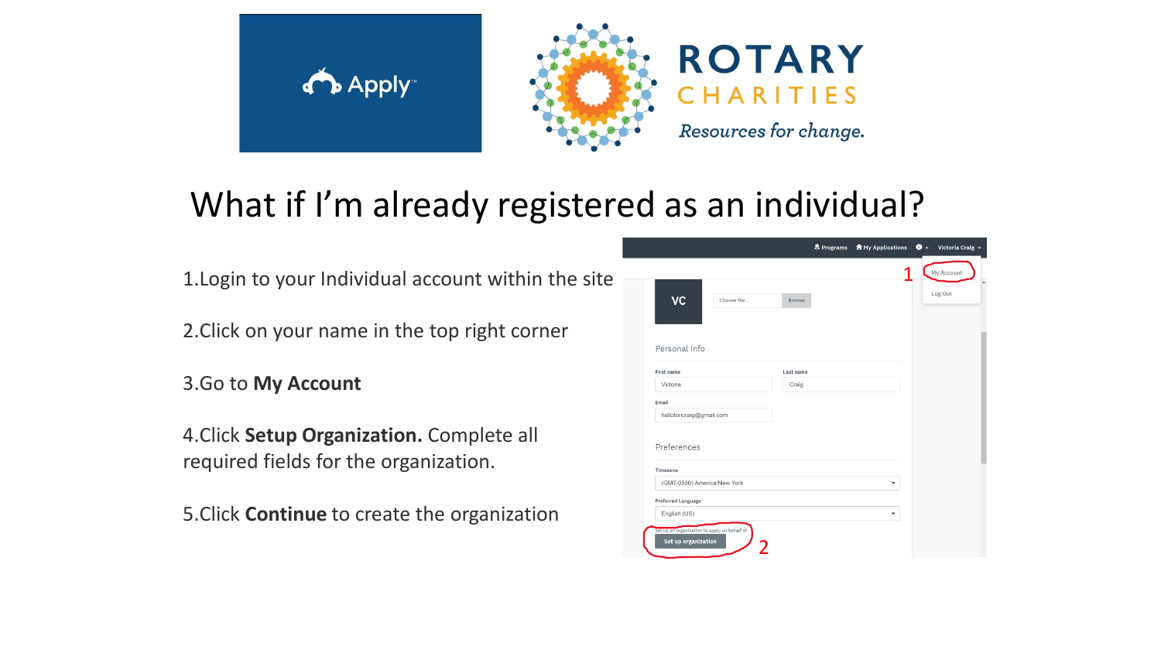



**ROTARY** ARITIES Resources for change.

# What if I'm already registered as an individual?

1.Login to your Individual account within the site

2.Click on your name in the top right corner

3.Go to **My Account**

4.Click **Setup Organization.** Complete all required fields for the organization.

5.Click **Continue** to create the organization

|                             |             |           | Programs | <b>A</b> My Applications | $\bullet$ $\overline{\bullet}$ Victoria Craig $\overline{\bullet}$ |
|-----------------------------|-------------|-----------|----------|--------------------------|--------------------------------------------------------------------|
|                             |             |           |          |                          | My Account                                                         |
| VC                          | Choose file | Browse    |          |                          | Log Out                                                            |
| Personal Info               |             |           |          |                          |                                                                    |
| First name                  |             | Last name |          |                          |                                                                    |
| Victoria                    |             | Craig     |          |                          |                                                                    |
| Email                       |             |           |          |                          |                                                                    |
| hellotoricraig@gmail.com    |             |           |          |                          |                                                                    |
|                             |             |           |          |                          |                                                                    |
| Preferences                 |             |           |          |                          |                                                                    |
| Timezone                    |             |           |          |                          |                                                                    |
| (GMT-0500) America/New York |             |           |          | ▼                        |                                                                    |
| Preferred Language          |             |           |          |                          |                                                                    |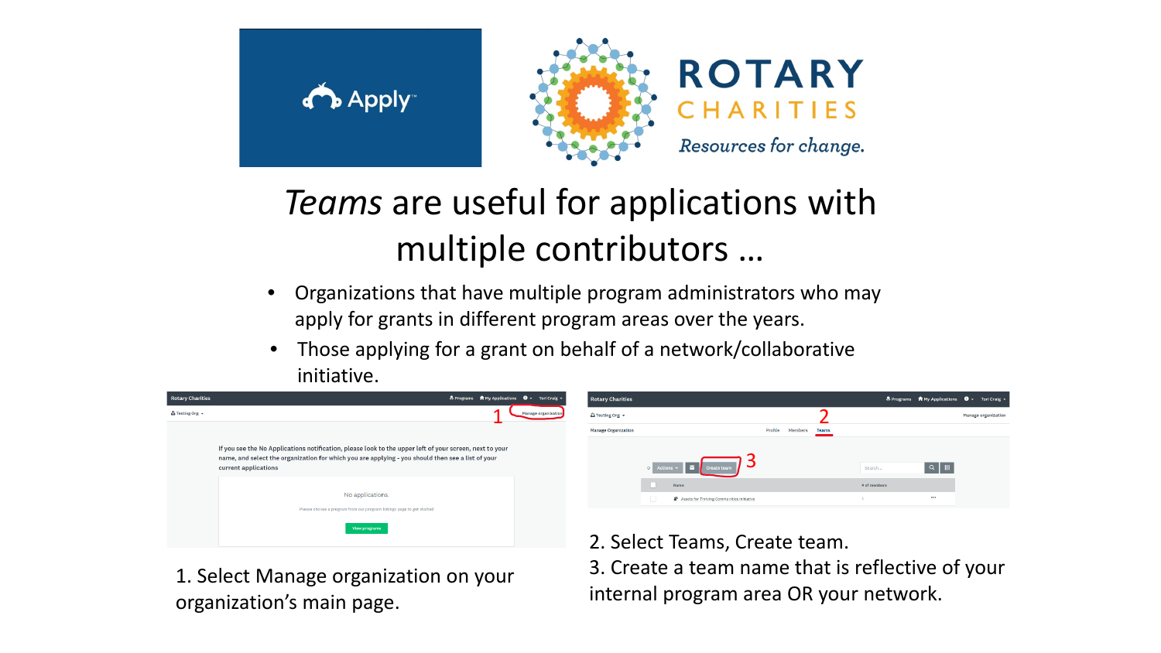





# *Teams* are useful for applications with multiple contributors …

- Organizations that have multiple program administrators who may apply for grants in different program areas over the years.
- Those applying for a grant on behalf of a network/collaborative initiative.



1. Select Manage organization on your organization's main page.

2. Select Teams, Create team.

3. Create a team name that is reflective of your internal program area OR your network.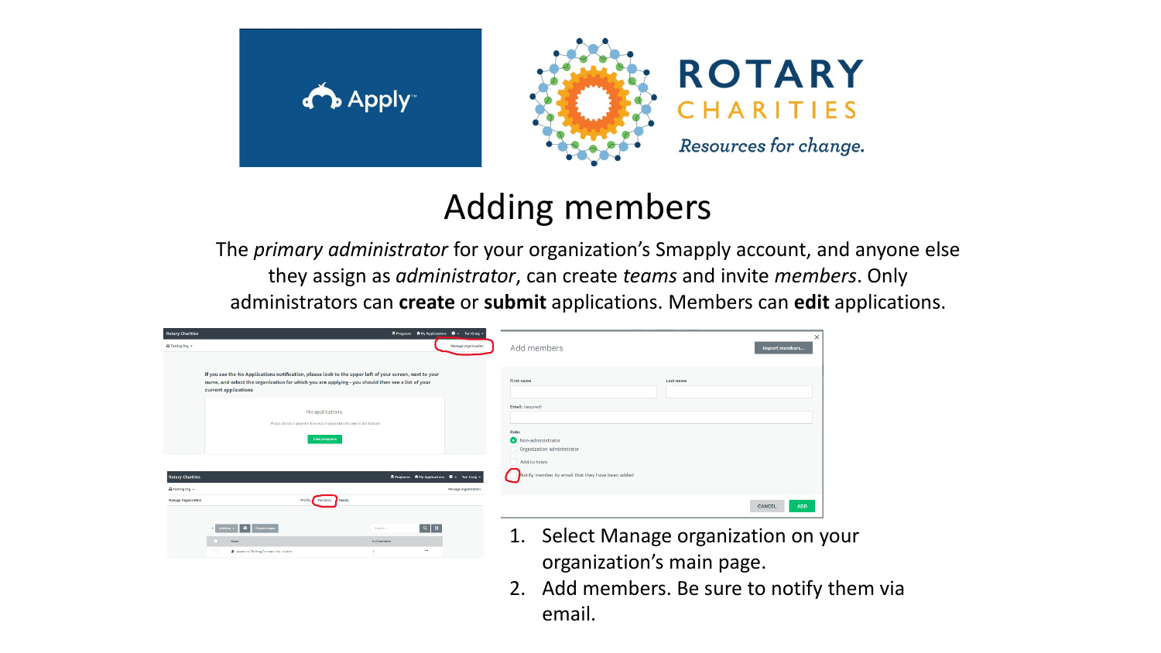



**ROTARY** CHARITIES Resources for change.

## Adding members

The *primary administrator* for your organization's Smapply account, and anyone else they assign as *administrator*, can create *teams* and invite *members*. Only administrators can **create** or **submit** applications. Members can **edit** applications.

| <b>Rotary Charities</b><br>& Programs T My Applications $\mathbf{0}$ - Tori Craig -                                       |                     |                                                                              | $\times$             |
|---------------------------------------------------------------------------------------------------------------------------|---------------------|------------------------------------------------------------------------------|----------------------|
| <b>A</b> Testing Org v                                                                                                    | Manage organization | Add members                                                                  | Import members       |
|                                                                                                                           |                     |                                                                              |                      |
| If you see the No Applications notification, please look to the upper left of your screen, next to your                   |                     | First name<br>Last name                                                      |                      |
| name, and select the organization for which you are applying - you should then see a list of your<br>current applications |                     |                                                                              |                      |
|                                                                                                                           |                     | Email: (required)                                                            |                      |
| No applications.                                                                                                          |                     |                                                                              |                      |
| Please choose a program from our program listings page to get started                                                     |                     | Role:                                                                        |                      |
| View programs                                                                                                             |                     | Non-administrator<br>Organization administrator                              |                      |
|                                                                                                                           |                     | Add to team                                                                  |                      |
|                                                                                                                           |                     | Notify member by email that they have been added                             |                      |
| & Programs * My Applications * The Craig *<br><b>Rotary Charities</b><br><b>La</b> Testing Org =                          | Manage organization |                                                                              |                      |
| Profile<br><b>Members</b><br>Teams<br>Manage Organization                                                                 |                     |                                                                              |                      |
|                                                                                                                           |                     |                                                                              | CANCEL<br><b>ADD</b> |
| $\alpha$<br><b>M</b><br>W.<br>Create team<br>Search<br>0 Actions .                                                        |                     | $C = \begin{bmatrix} 1 & 1 & 1 \\ 1 & 1 & 1 \end{bmatrix}$<br>$\overline{ }$ |                      |

- 1. Select Manage organization on your organization's main page.
- 2. Add members. Be sure to notify them via email.